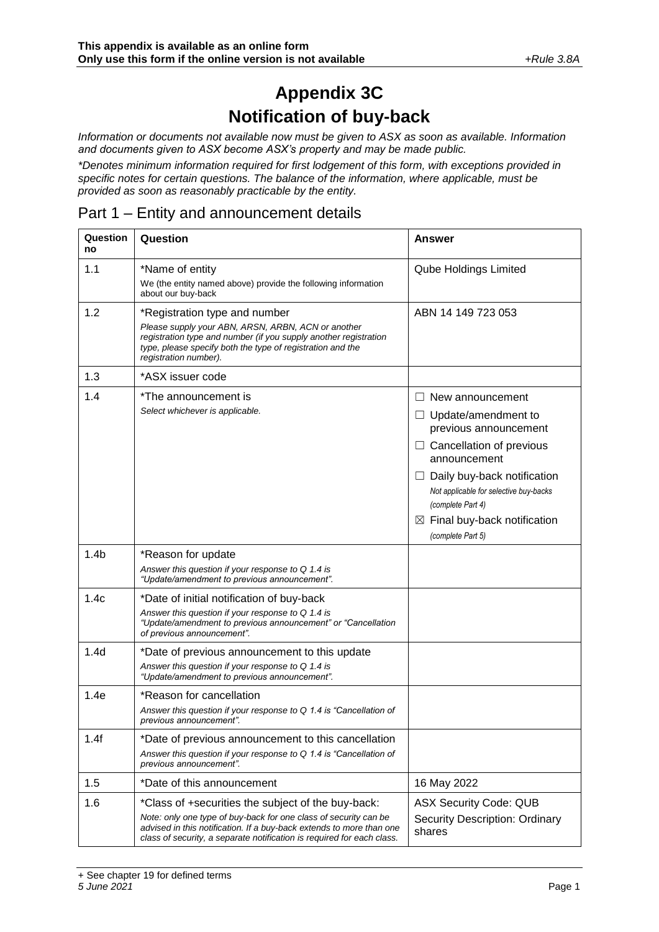# **Appendix 3C Notification of buy-back**

*Information or documents not available now must be given to ASX as soon as available. Information and documents given to ASX become ASX's property and may be made public.*

*\*Denotes minimum information required for first lodgement of this form, with exceptions provided in specific notes for certain questions. The balance of the information, where applicable, must be provided as soon as reasonably practicable by the entity.*

#### Part 1 – Entity and announcement details

| Question<br>no   | Question                                                                                                                                                                                                                                                                 | Answer                                                                                                                                                                                                                                                                                                  |  |
|------------------|--------------------------------------------------------------------------------------------------------------------------------------------------------------------------------------------------------------------------------------------------------------------------|---------------------------------------------------------------------------------------------------------------------------------------------------------------------------------------------------------------------------------------------------------------------------------------------------------|--|
| 1.1              | *Name of entity<br>We (the entity named above) provide the following information<br>about our buy-back                                                                                                                                                                   | <b>Qube Holdings Limited</b>                                                                                                                                                                                                                                                                            |  |
| 1.2              | *Registration type and number<br>Please supply your ABN, ARSN, ARBN, ACN or another<br>registration type and number (if you supply another registration<br>type, please specify both the type of registration and the<br>registration number).                           | ABN 14 149 723 053                                                                                                                                                                                                                                                                                      |  |
| 1.3              | *ASX issuer code                                                                                                                                                                                                                                                         |                                                                                                                                                                                                                                                                                                         |  |
| 1.4              | *The announcement is<br>Select whichever is applicable.                                                                                                                                                                                                                  | New announcement<br>$\Box$<br>$\Box$ Update/amendment to<br>previous announcement<br>$\Box$ Cancellation of previous<br>announcement<br>Daily buy-back notification<br>⊔<br>Not applicable for selective buy-backs<br>(complete Part 4)<br>$\boxtimes$ Final buy-back notification<br>(complete Part 5) |  |
| 1.4 <sub>b</sub> | *Reason for update<br>Answer this question if your response to Q 1.4 is<br>"Update/amendment to previous announcement".                                                                                                                                                  |                                                                                                                                                                                                                                                                                                         |  |
| 1.4c             | *Date of initial notification of buy-back<br>Answer this question if your response to Q 1.4 is<br>"Update/amendment to previous announcement" or "Cancellation<br>of previous announcement".                                                                             |                                                                                                                                                                                                                                                                                                         |  |
| 1.4d             | *Date of previous announcement to this update<br>Answer this question if your response to Q 1.4 is<br>"Update/amendment to previous announcement".                                                                                                                       |                                                                                                                                                                                                                                                                                                         |  |
| 1.4e             | *Reason for cancellation<br>Answer this question if your response to Q 1.4 is "Cancellation of<br>previous announcement".                                                                                                                                                |                                                                                                                                                                                                                                                                                                         |  |
| 1.4f             | *Date of previous announcement to this cancellation<br>Answer this question if your response to Q 1.4 is "Cancellation of<br>previous announcement".                                                                                                                     |                                                                                                                                                                                                                                                                                                         |  |
| 1.5              | *Date of this announcement                                                                                                                                                                                                                                               | 16 May 2022                                                                                                                                                                                                                                                                                             |  |
| 1.6              | *Class of +securities the subject of the buy-back:<br>Note: only one type of buy-back for one class of security can be<br>advised in this notification. If a buy-back extends to more than one<br>class of security, a separate notification is required for each class. | <b>ASX Security Code: QUB</b><br><b>Security Description: Ordinary</b><br>shares                                                                                                                                                                                                                        |  |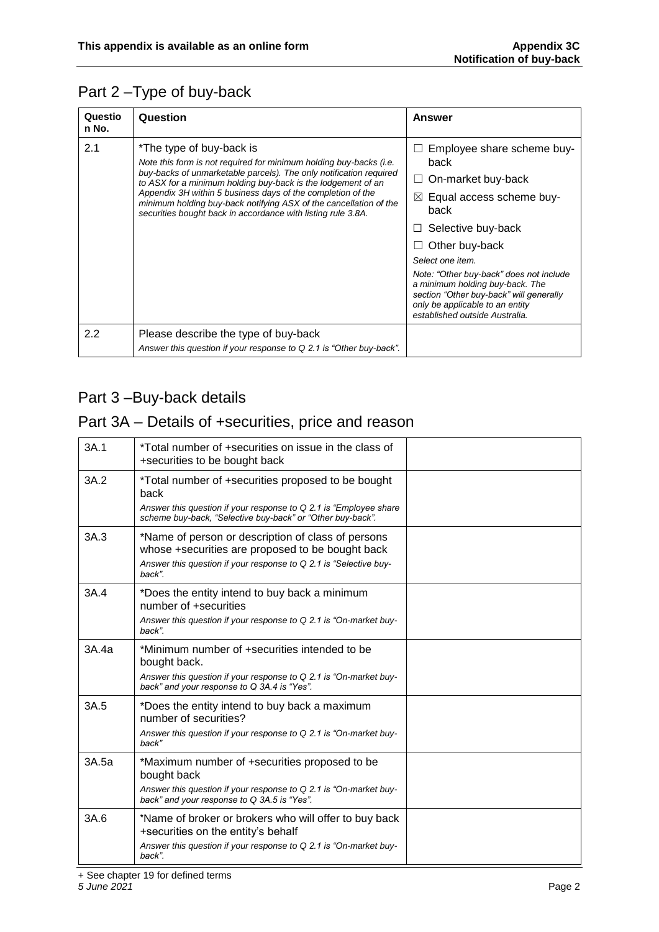## Part 2 –Type of buy-back

| Questio<br>n No. | Question                                                                                                                                                                                                                                                                                                                                                                                                                                 | Answer                                                                                                                                                                                                                                                                                                                                                                                 |
|------------------|------------------------------------------------------------------------------------------------------------------------------------------------------------------------------------------------------------------------------------------------------------------------------------------------------------------------------------------------------------------------------------------------------------------------------------------|----------------------------------------------------------------------------------------------------------------------------------------------------------------------------------------------------------------------------------------------------------------------------------------------------------------------------------------------------------------------------------------|
| 2.1              | *The type of buy-back is<br>Note this form is not required for minimum holding buy-backs (i.e.<br>buy-backs of unmarketable parcels). The only notification required<br>to ASX for a minimum holding buy-back is the lodgement of an<br>Appendix 3H within 5 business days of the completion of the<br>minimum holding buy-back notifying ASX of the cancellation of the<br>securities bought back in accordance with listing rule 3.8A. | Employee share scheme buy-<br>ш<br>back<br>On-market buy-back<br>ш<br>$\boxtimes$ Equal access scheme buy-<br>back<br>Selective buy-back<br>⊔<br>Other buy-back<br>ப<br>Select one item.<br>Note: "Other buy-back" does not include<br>a minimum holding buy-back. The<br>section "Other buy-back" will generally<br>only be applicable to an entity<br>established outside Australia. |
| $2.2\phantom{0}$ | Please describe the type of buy-back<br>Answer this question if your response to Q 2.1 is "Other buy-back".                                                                                                                                                                                                                                                                                                                              |                                                                                                                                                                                                                                                                                                                                                                                        |

## Part 3-Buy-back details

#### Part 3A – Details of +securities, price and reason

| 3A.1  | *Total number of +securities on issue in the class of<br>+securities to be bought back                                                                                                         |  |
|-------|------------------------------------------------------------------------------------------------------------------------------------------------------------------------------------------------|--|
| 3A.2  | *Total number of +securities proposed to be bought<br>back<br>Answer this question if your response to Q 2.1 is "Employee share"<br>scheme buy-back, "Selective buy-back" or "Other buy-back". |  |
| 3A.3  | *Name of person or description of class of persons<br>whose +securities are proposed to be bought back<br>Answer this question if your response to Q 2.1 is "Selective buy-<br>back".          |  |
| 3A.4  | *Does the entity intend to buy back a minimum<br>number of +securities<br>Answer this question if your response to Q 2.1 is "On-market buy-<br>back".                                          |  |
| 3A.4a | *Minimum number of +securities intended to be<br>bought back.<br>Answer this question if your response to Q 2.1 is "On-market buy-<br>back" and your response to Q 3A.4 is "Yes".              |  |
| 3A.5  | *Does the entity intend to buy back a maximum<br>number of securities?<br>Answer this question if your response to Q 2.1 is "On-market buy-<br>back"                                           |  |
| 3A.5a | *Maximum number of +securities proposed to be<br>bought back<br>Answer this question if your response to Q 2.1 is "On-market buy-<br>back" and your response to Q 3A.5 is "Yes".               |  |
| 3A.6  | *Name of broker or brokers who will offer to buy back<br>+securities on the entity's behalf<br>Answer this question if your response to Q 2.1 is "On-market buy-<br>back".                     |  |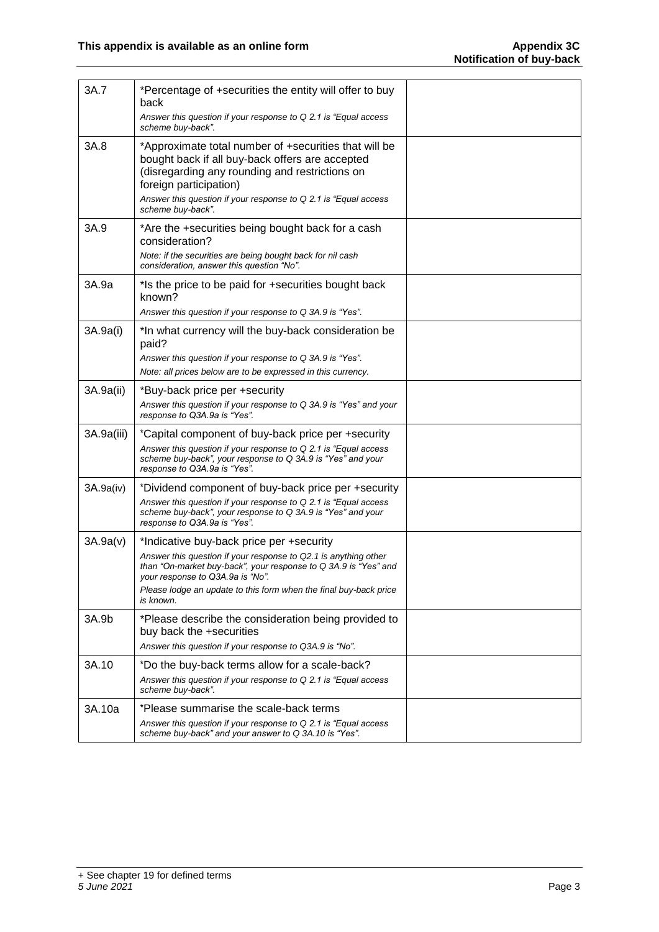| 3A.7       | *Percentage of +securities the entity will offer to buy<br>back<br>Answer this question if your response to Q 2.1 is "Equal access"<br>scheme buy-back".                                                                                                 |  |
|------------|----------------------------------------------------------------------------------------------------------------------------------------------------------------------------------------------------------------------------------------------------------|--|
| 3A.8       | *Approximate total number of +securities that will be<br>bought back if all buy-back offers are accepted<br>(disregarding any rounding and restrictions on<br>foreign participation)<br>Answer this question if your response to Q 2.1 is "Equal access" |  |
|            | scheme buy-back".                                                                                                                                                                                                                                        |  |
| 3A.9       | *Are the +securities being bought back for a cash<br>consideration?                                                                                                                                                                                      |  |
|            | Note: if the securities are being bought back for nil cash<br>consideration, answer this question "No".                                                                                                                                                  |  |
| 3A.9a      | *Is the price to be paid for +securities bought back<br>known?                                                                                                                                                                                           |  |
|            | Answer this question if your response to Q 3A.9 is "Yes".                                                                                                                                                                                                |  |
| 3A.9a(i)   | *In what currency will the buy-back consideration be<br>paid?                                                                                                                                                                                            |  |
|            | Answer this question if your response to Q 3A.9 is "Yes".<br>Note: all prices below are to be expressed in this currency.                                                                                                                                |  |
| 3A.9a(ii)  | *Buy-back price per +security<br>Answer this question if your response to Q 3A.9 is "Yes" and your                                                                                                                                                       |  |
|            | response to Q3A.9a is "Yes".                                                                                                                                                                                                                             |  |
| 3A.9a(iii) | *Capital component of buy-back price per +security<br>Answer this question if your response to Q 2.1 is "Equal access"<br>scheme buy-back", your response to Q 3A.9 is "Yes" and your<br>response to Q3A.9a is "Yes".                                    |  |
| 3A.9a(iv)  | *Dividend component of buy-back price per +security                                                                                                                                                                                                      |  |
|            | Answer this question if your response to Q 2.1 is "Equal access<br>scheme buy-back", your response to Q 3A.9 is "Yes" and your<br>response to Q3A.9a is "Yes".                                                                                           |  |
| 3A.9a(v)   | *Indicative buy-back price per +security                                                                                                                                                                                                                 |  |
|            | Answer this question if your response to Q2.1 is anything other<br>than "On-market buy-back", your response to Q 3A.9 is "Yes" and<br>your response to Q3A 9a is "No".                                                                                   |  |
|            | Please lodge an update to this form when the final buy-back price<br>is known.                                                                                                                                                                           |  |
| 3A.9b      | *Please describe the consideration being provided to<br>buy back the +securities<br>Answer this question if your response to Q3A.9 is "No".                                                                                                              |  |
| 3A.10      | *Do the buy-back terms allow for a scale-back?                                                                                                                                                                                                           |  |
|            | Answer this question if your response to Q 2.1 is "Equal access"<br>scheme buy-back".                                                                                                                                                                    |  |
| 3A.10a     | *Please summarise the scale-back terms                                                                                                                                                                                                                   |  |
|            | Answer this question if your response to Q 2.1 is "Equal access"<br>scheme buy-back" and your answer to Q 3A.10 is "Yes".                                                                                                                                |  |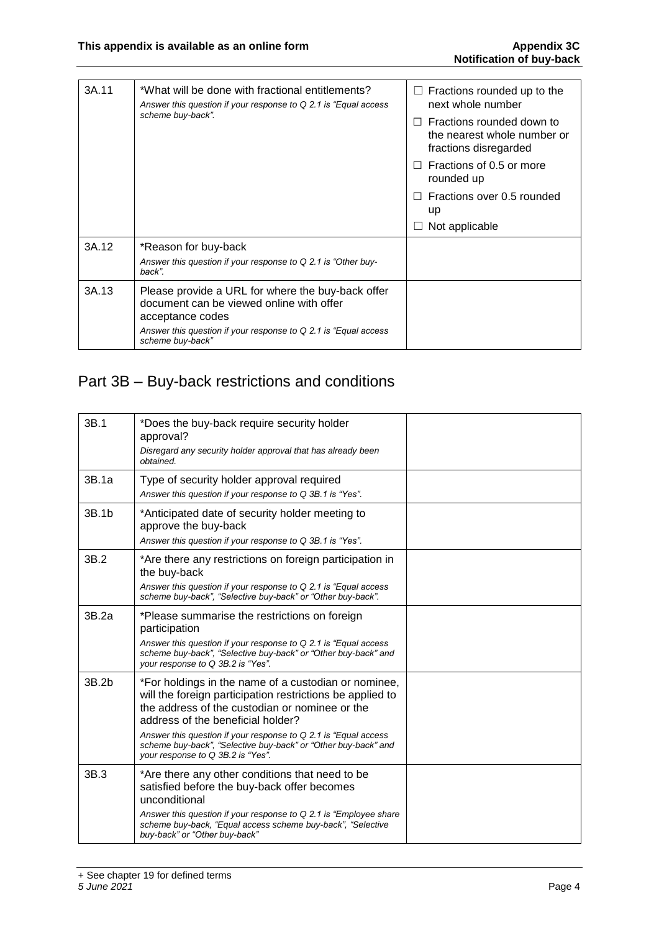| 3A.11 | *What will be done with fractional entitlements?<br>Answer this question if your response to $Q$ 2.1 is "Equal access"<br>scheme buy-back". | $\Box$ Fractions rounded up to the<br>next whole number                           |
|-------|---------------------------------------------------------------------------------------------------------------------------------------------|-----------------------------------------------------------------------------------|
|       |                                                                                                                                             | Fractions rounded down to<br>the nearest whole number or<br>fractions disregarded |
|       |                                                                                                                                             | Fractions of 0.5 or more<br>rounded up                                            |
|       |                                                                                                                                             | Fractions over 0.5 rounded<br>up                                                  |
|       |                                                                                                                                             | Not applicable                                                                    |
| 3A.12 | *Reason for buy-back<br>Answer this question if your response to Q 2.1 is "Other buy-<br>back".                                             |                                                                                   |
| 3A.13 | Please provide a URL for where the buy-back offer<br>document can be viewed online with offer<br>acceptance codes                           |                                                                                   |
|       | Answer this question if your response to $Q$ 2.1 is "Equal access"<br>scheme buy-back"                                                      |                                                                                   |

## Part 3B – Buy-back restrictions and conditions

| 3B.1  | *Does the buy-back require security holder<br>approval?                                                                                                                                                  |  |
|-------|----------------------------------------------------------------------------------------------------------------------------------------------------------------------------------------------------------|--|
|       | Disregard any security holder approval that has already been<br>obtained.                                                                                                                                |  |
| 3B.1a | Type of security holder approval required<br>Answer this question if your response to Q 3B.1 is "Yes".                                                                                                   |  |
| 3B.1b | *Anticipated date of security holder meeting to<br>approve the buy-back<br>Answer this question if your response to Q 3B.1 is "Yes".                                                                     |  |
| 3B.2  | *Are there any restrictions on foreign participation in<br>the buy-back                                                                                                                                  |  |
|       | Answer this question if your response to Q 2.1 is "Equal access<br>scheme buy-back", "Selective buy-back" or "Other buy-back".                                                                           |  |
| 3B.2a | *Please summarise the restrictions on foreign<br>participation                                                                                                                                           |  |
|       | Answer this question if your response to $Q$ 2.1 is "Equal access"<br>scheme buy-back". "Selective buy-back" or "Other buy-back" and<br>your response to Q 3B 2 is "Yes".                                |  |
| 3B.2b | *For holdings in the name of a custodian or nominee,<br>will the foreign participation restrictions be applied to<br>the address of the custodian or nominee or the<br>address of the beneficial holder? |  |
|       | Answer this question if your response to Q 2.1 is "Equal access<br>scheme buy-back", "Selective buy-back" or "Other buy-back" and<br>your response to Q 3B.2 is "Yes".                                   |  |
| 3B.3  | *Are there any other conditions that need to be<br>satisfied before the buy-back offer becomes<br>unconditional                                                                                          |  |
|       | Answer this question if your response to $Q$ 2.1 is "Employee share"<br>scheme buy-back, "Equal access scheme buy-back", "Selective<br>buy-back" or "Other buy-back"                                     |  |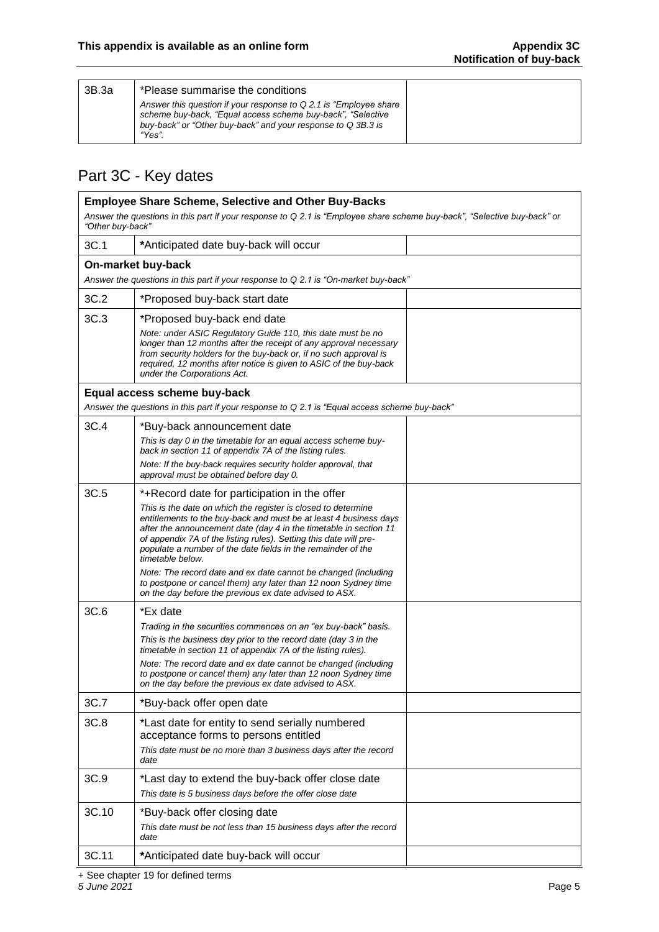| 3B.3a | *Please summarise the conditions                                                                                                                                                                            |  |
|-------|-------------------------------------------------------------------------------------------------------------------------------------------------------------------------------------------------------------|--|
|       | Answer this question if your response to Q 2.1 is "Employee share"<br>scheme buy-back, "Equal access scheme buy-back", "Selective<br>buy-back" or "Other buy-back" and your response to Q 3B.3 is<br>"Yes". |  |

## Part 3C - Key dates

| <b>Employee Share Scheme, Selective and Other Buy-Backs</b>                                                                                  |                                                                                                                                                                                                                                                                                                                                                                  |  |  |  |  |
|----------------------------------------------------------------------------------------------------------------------------------------------|------------------------------------------------------------------------------------------------------------------------------------------------------------------------------------------------------------------------------------------------------------------------------------------------------------------------------------------------------------------|--|--|--|--|
| Answer the questions in this part if your response to Q 2.1 is "Employee share scheme buy-back", "Selective buy-back" or<br>"Other buy-back" |                                                                                                                                                                                                                                                                                                                                                                  |  |  |  |  |
| 3C.1                                                                                                                                         | *Anticipated date buy-back will occur                                                                                                                                                                                                                                                                                                                            |  |  |  |  |
| On-market buy-back                                                                                                                           |                                                                                                                                                                                                                                                                                                                                                                  |  |  |  |  |
|                                                                                                                                              | Answer the questions in this part if your response to Q 2.1 is "On-market buy-back"                                                                                                                                                                                                                                                                              |  |  |  |  |
| 3C.2                                                                                                                                         | *Proposed buy-back start date                                                                                                                                                                                                                                                                                                                                    |  |  |  |  |
| 3C.3                                                                                                                                         | *Proposed buy-back end date                                                                                                                                                                                                                                                                                                                                      |  |  |  |  |
|                                                                                                                                              | Note: under ASIC Regulatory Guide 110, this date must be no<br>longer than 12 months after the receipt of any approval necessary<br>from security holders for the buy-back or, if no such approval is<br>required, 12 months after notice is given to ASIC of the buy-back<br>under the Corporations Act.                                                        |  |  |  |  |
|                                                                                                                                              | Equal access scheme buy-back                                                                                                                                                                                                                                                                                                                                     |  |  |  |  |
|                                                                                                                                              | Answer the questions in this part if your response to Q 2.1 is "Equal access scheme buy-back"                                                                                                                                                                                                                                                                    |  |  |  |  |
| 3C.4                                                                                                                                         | *Buy-back announcement date                                                                                                                                                                                                                                                                                                                                      |  |  |  |  |
|                                                                                                                                              | This is day 0 in the timetable for an equal access scheme buy-<br>back in section 11 of appendix 7A of the listing rules.                                                                                                                                                                                                                                        |  |  |  |  |
|                                                                                                                                              | Note: If the buy-back requires security holder approval, that<br>approval must be obtained before day 0.                                                                                                                                                                                                                                                         |  |  |  |  |
| 3C.5                                                                                                                                         | *+Record date for participation in the offer                                                                                                                                                                                                                                                                                                                     |  |  |  |  |
|                                                                                                                                              | This is the date on which the register is closed to determine<br>entitlements to the buy-back and must be at least 4 business days<br>after the announcement date (day 4 in the timetable in section 11<br>of appendix 7A of the listing rules). Setting this date will pre-<br>populate a number of the date fields in the remainder of the<br>timetable below. |  |  |  |  |
|                                                                                                                                              | Note: The record date and ex date cannot be changed (including<br>to postpone or cancel them) any later than 12 noon Sydney time<br>on the day before the previous ex date advised to ASX.                                                                                                                                                                       |  |  |  |  |
| 3C.6                                                                                                                                         | *Ex date                                                                                                                                                                                                                                                                                                                                                         |  |  |  |  |
|                                                                                                                                              | Trading in the securities commences on an "ex buy-back" basis.                                                                                                                                                                                                                                                                                                   |  |  |  |  |
|                                                                                                                                              | This is the business day prior to the record date (day 3 in the<br>timetable in section 11 of appendix 7A of the listing rules).                                                                                                                                                                                                                                 |  |  |  |  |
|                                                                                                                                              | Note: The record date and ex date cannot be changed (including<br>to postpone or cancel them) any later than 12 noon Sydney time<br>on the day before the previous ex date advised to ASX.                                                                                                                                                                       |  |  |  |  |
| 3C.7                                                                                                                                         | *Buy-back offer open date                                                                                                                                                                                                                                                                                                                                        |  |  |  |  |
| 3C.8                                                                                                                                         | *Last date for entity to send serially numbered<br>acceptance forms to persons entitled<br>This date must be no more than 3 business days after the record<br>date                                                                                                                                                                                               |  |  |  |  |
| 3C.9                                                                                                                                         | *Last day to extend the buy-back offer close date                                                                                                                                                                                                                                                                                                                |  |  |  |  |
|                                                                                                                                              | This date is 5 business days before the offer close date                                                                                                                                                                                                                                                                                                         |  |  |  |  |
| 3C.10                                                                                                                                        | *Buy-back offer closing date<br>This date must be not less than 15 business days after the record<br>date                                                                                                                                                                                                                                                        |  |  |  |  |
| 3C.11                                                                                                                                        | *Anticipated date buy-back will occur                                                                                                                                                                                                                                                                                                                            |  |  |  |  |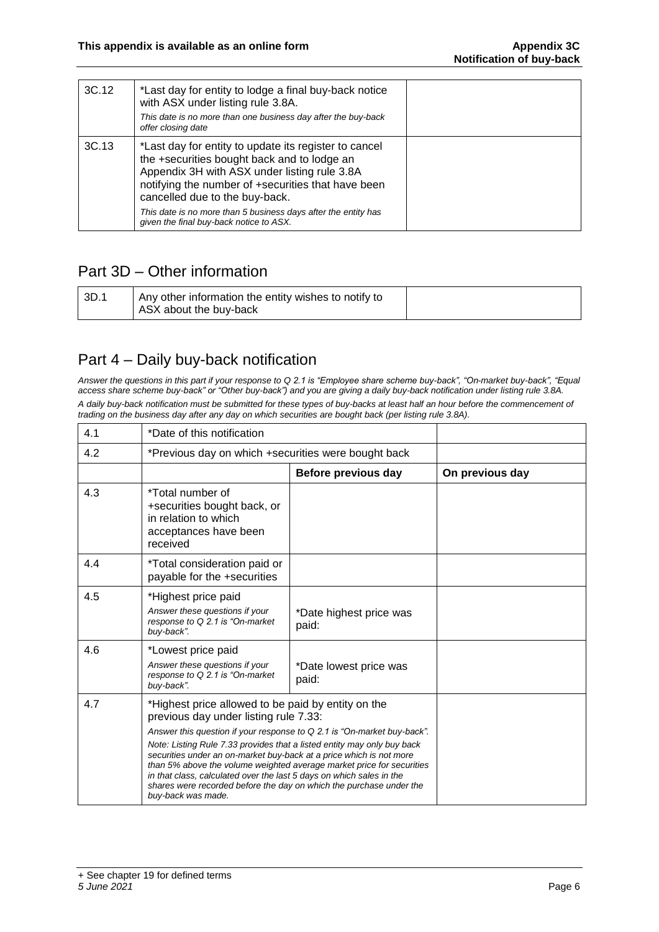| 3C.12 | *Last day for entity to lodge a final buy-back notice<br>with ASX under listing rule 3.8A.<br>This date is no more than one business day after the buy-back<br>offer closing date                                                                                                                                                                         |  |
|-------|-----------------------------------------------------------------------------------------------------------------------------------------------------------------------------------------------------------------------------------------------------------------------------------------------------------------------------------------------------------|--|
| 3C.13 | *Last day for entity to update its register to cancel<br>the +securities bought back and to lodge an<br>Appendix 3H with ASX under listing rule 3.8A<br>notifying the number of +securities that have been<br>cancelled due to the buy-back.<br>This date is no more than 5 business days after the entity has<br>given the final buy-back notice to ASX. |  |

## Part 3D – Other information

| l 3D.1 | Any other information the entity wishes to notify to |  |
|--------|------------------------------------------------------|--|
|        | ASX about the buy-back                               |  |

### Part 4 – Daily buy-back notification

*Answer the questions in this part if your response to Q 2.1 is "Employee share scheme buy-back", "On-market buy-back", "Equal access share scheme buy-back" or "Other buy-back") and you are giving a daily buy-back notification under listing rule 3.8A. A daily buy-back notification must be submitted for these types of buy-backs at least half an hour before the commencement of trading on the business day after any day on which securities are bought back (per listing rule 3.8A).*

| 4.1 | *Date of this notification                                                                                                                                                                                                                                                                                                                                                                                                                                                                                                                                             |                                  |                 |
|-----|------------------------------------------------------------------------------------------------------------------------------------------------------------------------------------------------------------------------------------------------------------------------------------------------------------------------------------------------------------------------------------------------------------------------------------------------------------------------------------------------------------------------------------------------------------------------|----------------------------------|-----------------|
| 4.2 | *Previous day on which +securities were bought back                                                                                                                                                                                                                                                                                                                                                                                                                                                                                                                    |                                  |                 |
|     |                                                                                                                                                                                                                                                                                                                                                                                                                                                                                                                                                                        | Before previous day              | On previous day |
| 4.3 | *Total number of<br>+securities bought back, or<br>in relation to which<br>acceptances have been<br>received                                                                                                                                                                                                                                                                                                                                                                                                                                                           |                                  |                 |
| 4.4 | *Total consideration paid or<br>payable for the +securities                                                                                                                                                                                                                                                                                                                                                                                                                                                                                                            |                                  |                 |
| 4.5 | *Highest price paid<br>Answer these questions if your<br>response to Q 2.1 is "On-market<br>buy-back".                                                                                                                                                                                                                                                                                                                                                                                                                                                                 | *Date highest price was<br>paid: |                 |
| 4.6 | *Lowest price paid<br>Answer these questions if your<br>response to Q 2.1 is "On-market<br>buy-back".                                                                                                                                                                                                                                                                                                                                                                                                                                                                  | *Date lowest price was<br>paid:  |                 |
| 4.7 | *Highest price allowed to be paid by entity on the<br>previous day under listing rule 7.33:<br>Answer this question if your response to Q 2.1 is "On-market buy-back".<br>Note: Listing Rule 7.33 provides that a listed entity may only buy back<br>securities under an on-market buy-back at a price which is not more<br>than 5% above the volume weighted average market price for securities<br>in that class, calculated over the last 5 days on which sales in the<br>shares were recorded before the day on which the purchase under the<br>buy-back was made. |                                  |                 |